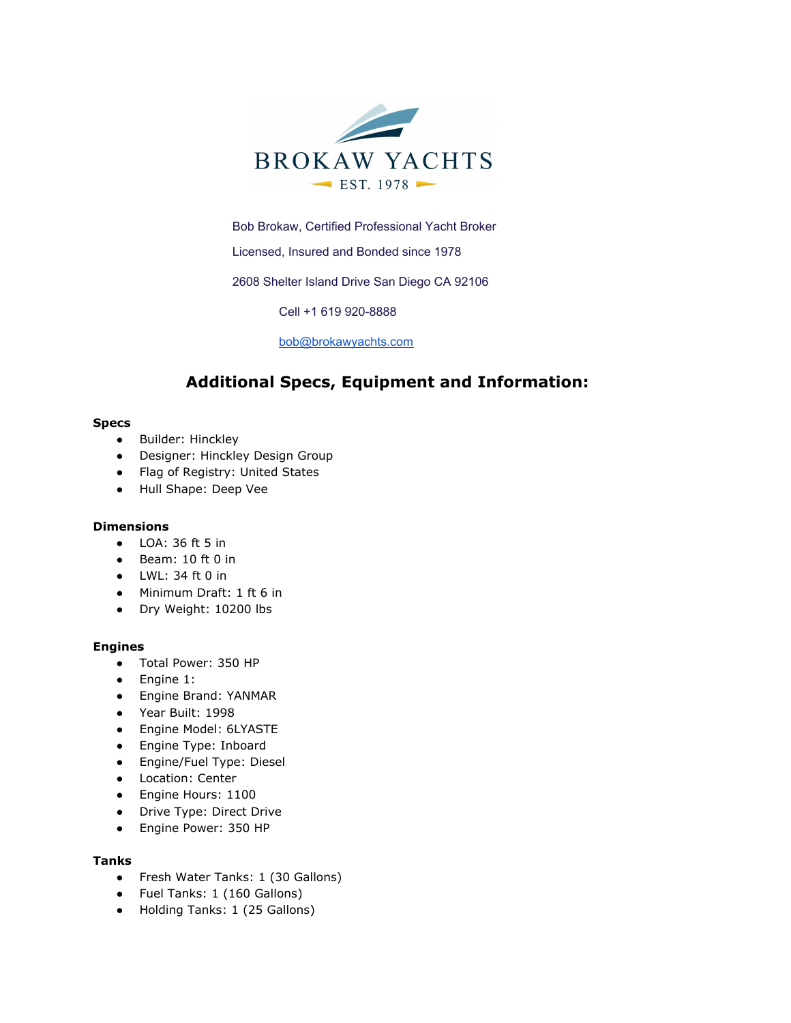

Bob Brokaw, Certified Professional Yacht Broker

Licensed, Insured and Bonded since 1978

2608 Shelter Island Drive San Diego CA 92106

Cell +1 619 920-8888

[bob@brokawyachts.com](mailto:bob@brokawyachts.com)

# **Additional Specs, Equipment and Information:**

#### **Specs**

- Builder: Hinckley
- Designer: Hinckley Design Group
- Flag of Registry: United States
- Hull Shape: Deep Vee

# **Dimensions**

- LOA: 36 ft 5 in
- Beam: 10 ft 0 in
- $\bullet$  LWL: 34 ft 0 in
- Minimum Draft: 1 ft 6 in
- Dry Weight: 10200 lbs

#### **Engines**

- Total Power: 350 HP
- Engine 1:
- Engine Brand: YANMAR
- Year Built: 1998
- Engine Model: 6LYASTE
- Engine Type: Inboard
- Engine/Fuel Type: Diesel
- Location: Center
- Engine Hours: 1100
- Drive Type: Direct Drive
- Engine Power: 350 HP

## **Tanks**

- Fresh Water Tanks: 1 (30 Gallons)
- Fuel Tanks: 1 (160 Gallons)
- Holding Tanks: 1 (25 Gallons)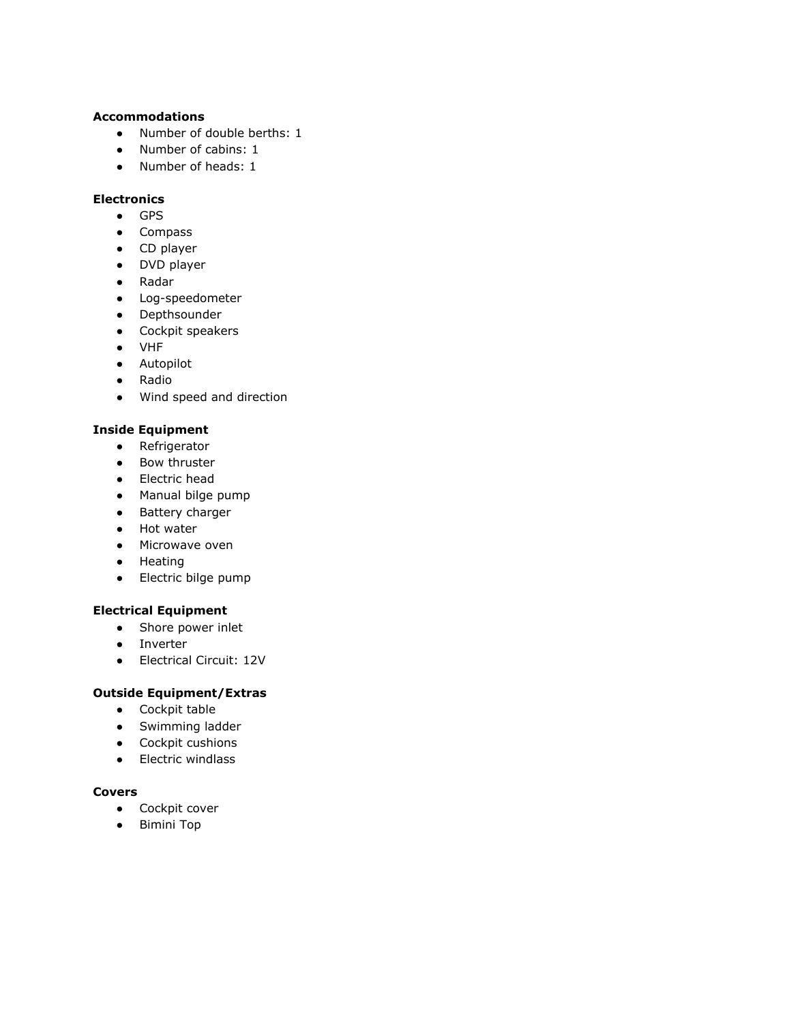#### **Accommodations**

- Number of double berths: 1
- Number of cabins: 1
- Number of heads: 1

# **Electronics**

- GPS
- Compass
- CD player
- DVD player
- Radar
- Log-speedometer
- Depthsounder
- Cockpit speakers
- VHF
- Autopilot
- Radio
- Wind speed and direction

#### **Inside Equipment**

- Refrigerator
- Bow thruster
- Electric head
- Manual bilge pump
- Battery charger
- Hot water
- Microwave oven
- Heating
- Electric bilge pump

# **Electrical Equipment**

- Shore power inlet
- Inverter
- Electrical Circuit: 12V

#### **Outside Equipment/Extras**

- Cockpit table
- Swimming ladder
- Cockpit cushions
- Electric windlass

#### **Covers**

- Cockpit cover
- Bimini Top